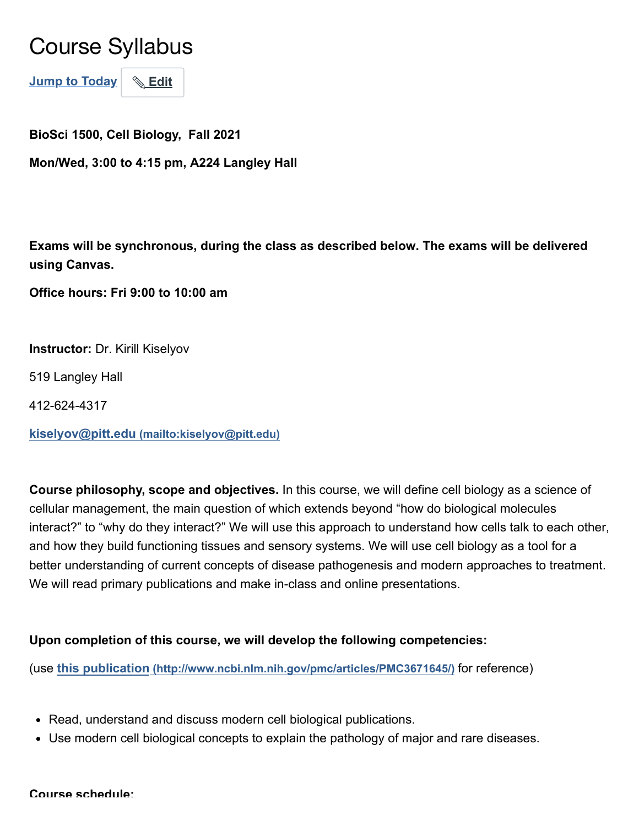# Course Syllabus

**Jump to Today Edit**

**BioSci 1500, Cell Biology, Fall 2021**

**Mon/Wed, 3:00 to 4:15 pm, A224 Langley Hall**

**Exams will be synchronous, during the class as described below. The exams will be delivered using Canvas.** 

**[Office hours: Fri 9:00 to 10:00 am](https://pitt.zoom.us/j/96834531101)**

**Instructor:** Dr. Kirill Kiselyov

519 Langley Hall

412-624-4317

**kiselyov@pitt.edu [\(mailto:kiselyov@pitt.edu\)](mailto:kiselyov@pitt.edu)**

**Course philosophy, scope and objectives.** In this course, we will define cell biology as a science of cellular management, the main question of which extends beyond "how do biological molecules interact?" to "why do they interact?" We will use this approach to understand how cells talk to each other, and how they build functioning tissues and sensory systems. We will use cell biology as a tool for a better understanding of current concepts of disease pathogenesis and modern approaches to treatment. We will read primary publications and make in-class and online presentations.

#### **Upon completion of this course, we will develop the following competencies:**

(use **this publication [\(http://www.ncbi.nlm.nih.gov/pmc/articles/PMC3671645/\)](http://www.ncbi.nlm.nih.gov/pmc/articles/PMC3671645/)** for reference)

- Read, understand and discuss modern cell biological publications.
- Use modern cell biological concepts to explain the pathology of major and rare diseases.

#### **Course schedule:**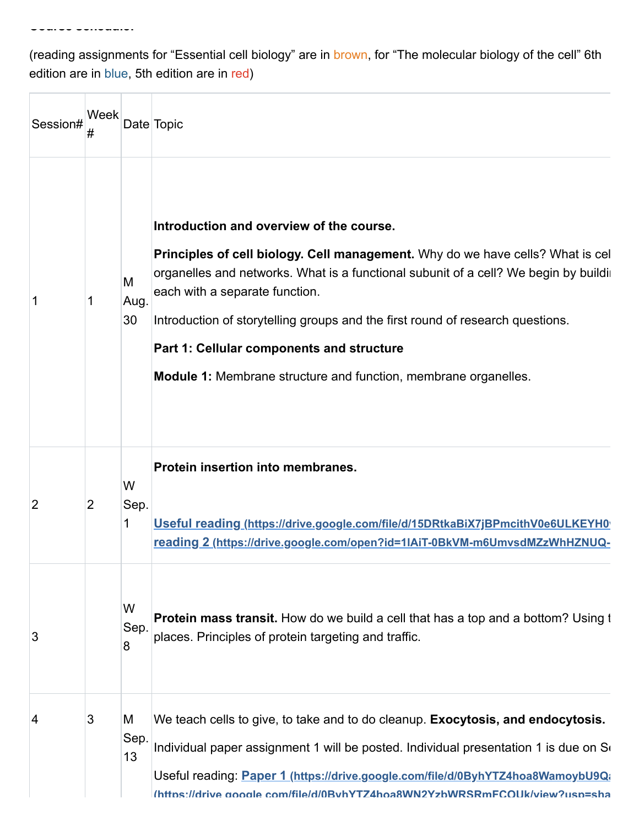(reading assignments for "Essential cell biology" are in brown, for "The molecular biology of the cell" 6th edition are in blue, 5th edition are in red)

**Course schedule:**

П

| Session#       | Week           |                 | Date Topic                                                                                                                                                                                                                                                                                                                                                                                                                                                    |
|----------------|----------------|-----------------|---------------------------------------------------------------------------------------------------------------------------------------------------------------------------------------------------------------------------------------------------------------------------------------------------------------------------------------------------------------------------------------------------------------------------------------------------------------|
| 1              | 1              | M<br>Aug.<br>30 | Introduction and overview of the course.<br>Principles of cell biology. Cell management. Why do we have cells? What is cel<br>organelles and networks. What is a functional subunit of a cell? We begin by buildir<br>each with a separate function.<br>Introduction of storytelling groups and the first round of research questions.<br>Part 1: Cellular components and structure<br><b>Module 1:</b> Membrane structure and function, membrane organelles. |
| $\overline{2}$ | $\overline{2}$ | W<br>Sep.<br>1  | Protein insertion into membranes.<br>Useful reading (https://drive.google.com/file/d/15DRtkaBiX7jBPmcithV0e6ULKEYH0<br>reading 2 (https://drive.google.com/open?id=1IAiT-0BkVM-m6UmvsdMZzWhHZNUQ-                                                                                                                                                                                                                                                             |
| 3              |                | W<br>Sep.<br>8  | <b>Protein mass transit.</b> How do we build a cell that has a top and a bottom? Using t<br>places. Principles of protein targeting and traffic.                                                                                                                                                                                                                                                                                                              |
| 4              | 3              | M<br>Sep.<br>13 | We teach cells to give, to take and to do cleanup. Exocytosis, and endocytosis.<br>Individual paper assignment 1 will be posted. Individual presentation 1 is due on So<br>Useful reading: Paper 1 (https://drive.google.com/file/d/0ByhYTZ4hoa8WamoybU9Q;<br>(https://drive.google.com/file/d/0BvhYTZ4hoa8WN2YzbWRSRmFCOUk/view?usp=sha                                                                                                                      |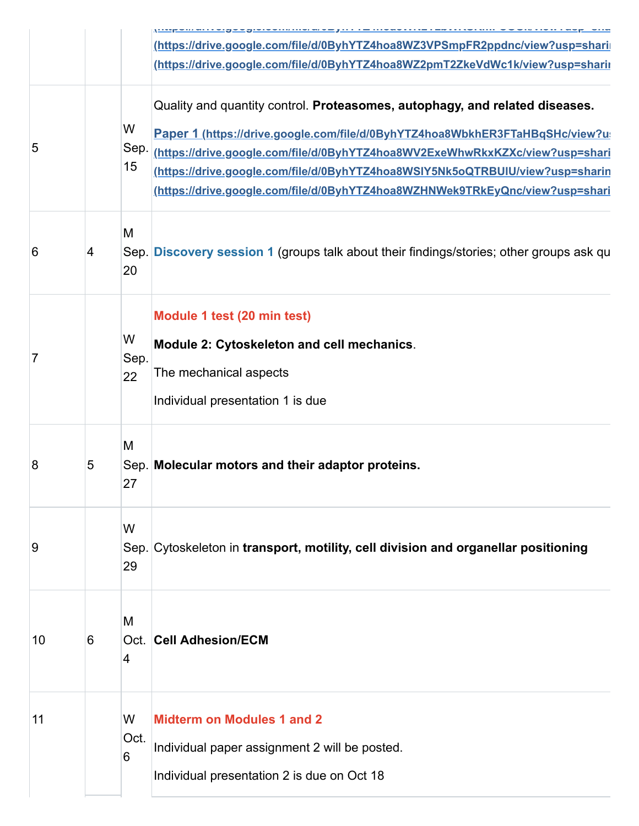|    |   |                 | <u>   Ryksinari vių vykynistyni i insiai ve į III i estrvavi i i is i savi i vyrinii.</u><br>(https://drive.google.com/file/d/0ByhYTZ4hoa8WZ3VPSmpFR2ppdnc/view?usp=shari                                                                                                                                                                                                                                   |
|----|---|-----------------|-------------------------------------------------------------------------------------------------------------------------------------------------------------------------------------------------------------------------------------------------------------------------------------------------------------------------------------------------------------------------------------------------------------|
|    |   |                 | (https://drive.google.com/file/d/0ByhYTZ4hoa8WZ2pmT2ZkeVdWc1k/view?usp=sharii                                                                                                                                                                                                                                                                                                                               |
| 5  |   | W<br>Sep.<br>15 | Quality and quantity control. Proteasomes, autophagy, and related diseases.<br>Paper 1 (https://drive.google.com/file/d/0ByhYTZ4hoa8WbkhER3FTaHBqSHc/view?u<br>(https://drive.google.com/file/d/0ByhYTZ4hoa8WV2ExeWhwRkxKZXc/view?usp=shari<br>(https://drive.google.com/file/d/0ByhYTZ4hoa8WSIY5Nk5oQTRBUIU/view?usp=sharin<br>https://drive.google.com/file/d/0ByhYTZ4hoa8WZHNWek9TRkEyQnc/view?usp=shari |
| 6  | 4 | M<br>20         | Sep. Discovery session 1 (groups talk about their findings/stories; other groups ask qu                                                                                                                                                                                                                                                                                                                     |
| 7  |   | W<br>Sep.<br>22 | Module 1 test (20 min test)<br>Module 2: Cytoskeleton and cell mechanics.<br>The mechanical aspects<br>Individual presentation 1 is due                                                                                                                                                                                                                                                                     |
| 8  | 5 | M<br>27         | Sep. Molecular motors and their adaptor proteins.                                                                                                                                                                                                                                                                                                                                                           |
| 9  |   | W<br>29         | Sep. Cytoskeleton in transport, motility, cell division and organellar positioning                                                                                                                                                                                                                                                                                                                          |
| 10 | 6 | M<br>4          | <b>Oct. Cell Adhesion/ECM</b>                                                                                                                                                                                                                                                                                                                                                                               |
| 11 |   | W<br>Oct.<br>6  | <b>Midterm on Modules 1 and 2</b><br>Individual paper assignment 2 will be posted.<br>Individual presentation 2 is due on Oct 18                                                                                                                                                                                                                                                                            |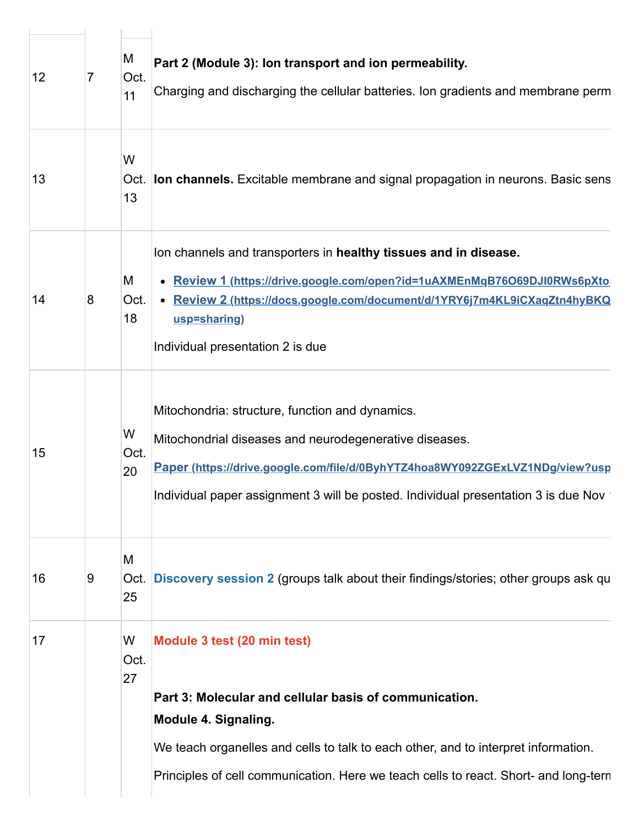| $\overline{7}$ | M<br>Oct.<br>11 | Part 2 (Module 3): Ion transport and ion permeability.<br>Charging and discharging the cellular batteries. Ion gradients and membrane perm                                                                                                                                      |
|----------------|-----------------|---------------------------------------------------------------------------------------------------------------------------------------------------------------------------------------------------------------------------------------------------------------------------------|
|                | W<br>13         | Oct. <b>Ion channels.</b> Excitable membrane and signal propagation in neurons. Basic sens                                                                                                                                                                                      |
| 8              | Μ<br>Oct.<br>18 | Ion channels and transporters in healthy tissues and in disease.<br>• Review 1 (https://drive.google.com/open?id=1uAXMEnMqB76O69DJI0RWs6pXto<br>• Review 2 (https://docs.google.com/document/d/1YRY6j7m4KL9iCXaqZtn4hyBKQ<br>usp=sharing)<br>Individual presentation 2 is due   |
|                | W<br>Oct.<br>20 | Mitochondria: structure, function and dynamics.<br>Mitochondrial diseases and neurodegenerative diseases.<br>Paper (https://drive.google.com/file/d/0ByhYTZ4hoa8WY092ZGExLVZ1NDg/view?usp<br>Individual paper assignment 3 will be posted. Individual presentation 3 is due Nov |
| 9              | M<br>Oct.<br>25 | Discovery session 2 (groups talk about their findings/stories; other groups ask qu                                                                                                                                                                                              |
|                | W<br>Oct.<br>27 | Module 3 test (20 min test)<br>Part 3: Molecular and cellular basis of communication.<br><b>Module 4. Signaling.</b><br>We teach organelles and cells to talk to each other, and to interpret information.                                                                      |
|                |                 |                                                                                                                                                                                                                                                                                 |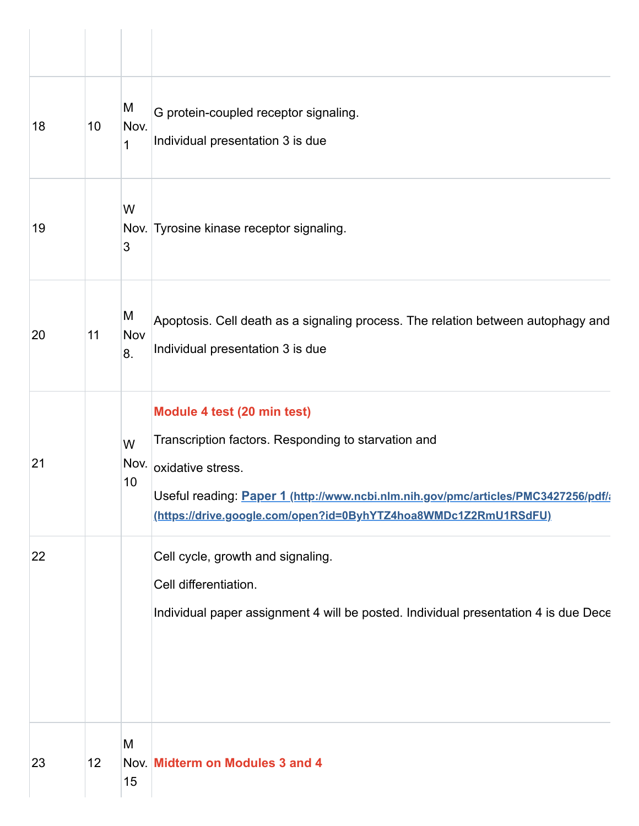| 18 | 10 | M<br>Nov.<br>1  | G protein-coupled receptor signaling.<br>Individual presentation 3 is due                                                                                                                                                                                        |
|----|----|-----------------|------------------------------------------------------------------------------------------------------------------------------------------------------------------------------------------------------------------------------------------------------------------|
| 19 |    | W<br>3          | Nov. Tyrosine kinase receptor signaling.                                                                                                                                                                                                                         |
| 20 | 11 | M<br>Nov<br>8.  | Apoptosis. Cell death as a signaling process. The relation between autophagy and<br>Individual presentation 3 is due                                                                                                                                             |
| 21 |    | W<br>Nov.<br>10 | Module 4 test (20 min test)<br>Transcription factors. Responding to starvation and<br>oxidative stress.<br>Useful reading: Paper 1 (http://www.ncbi.nlm.nih.gov/pmc/articles/PMC3427256/pdf/i<br>(https://drive.google.com/open?id=0ByhYTZ4hoa8WMDc1Z2RmU1RSdFU) |
| 22 |    |                 | Cell cycle, growth and signaling.<br>Cell differentiation.<br>Individual paper assignment 4 will be posted. Individual presentation 4 is due Dece                                                                                                                |
| 23 | 12 | M<br>15         | Nov. Midterm on Modules 3 and 4                                                                                                                                                                                                                                  |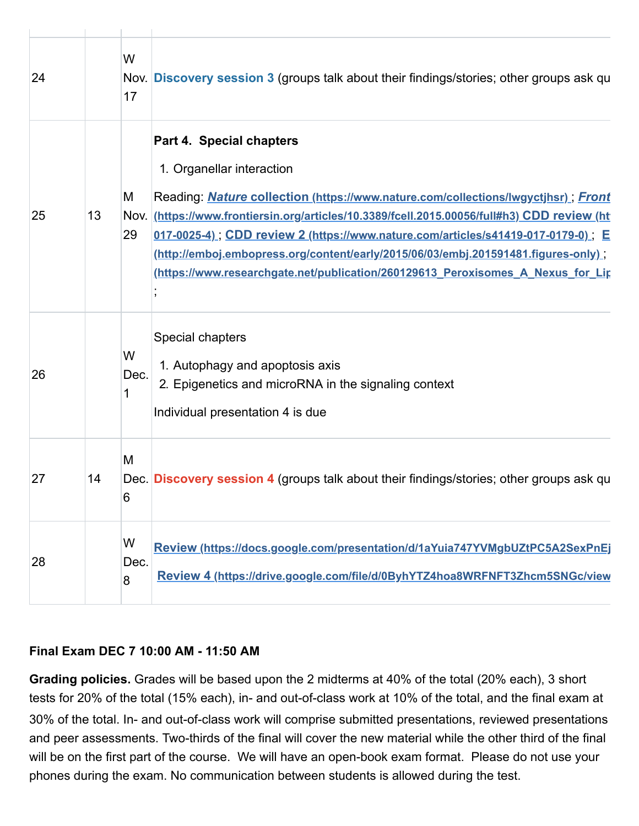| 24 |    | W<br>17        | Nov. Discovery session 3 (groups talk about their findings/stories; other groups ask qu                                                                                                                                                                                                                                                                                                                                                                                                               |
|----|----|----------------|-------------------------------------------------------------------------------------------------------------------------------------------------------------------------------------------------------------------------------------------------------------------------------------------------------------------------------------------------------------------------------------------------------------------------------------------------------------------------------------------------------|
| 25 | 13 | M<br>29        | Part 4. Special chapters<br>1. Organellar interaction<br>Reading: Nature collection (https://www.nature.com/collections/lwgyctjhsr); Front<br>Nov. (https://www.frontiersin.org/articles/10.3389/fcell.2015.00056/full#h3) CDD review (ht<br>017-0025-4), CDD review 2 (https://www.nature.com/articles/s41419-017-0179-0), E<br>(http://emboj.embopress.org/content/early/2015/06/03/embj.201591481.figures-only)<br>(https://www.researchgate.net/publication/260129613 Peroxisomes A Nexus for Lip |
| 26 |    | W<br>Dec.<br>1 | Special chapters<br>1. Autophagy and apoptosis axis<br>2. Epigenetics and microRNA in the signaling context<br>Individual presentation 4 is due                                                                                                                                                                                                                                                                                                                                                       |
| 27 | 14 | M<br>6         | Dec. Discovery session 4 (groups talk about their findings/stories; other groups ask qu                                                                                                                                                                                                                                                                                                                                                                                                               |
| 28 |    | W<br>Dec.<br>8 | Review (https://docs.google.com/presentation/d/1aYuia747YVMgbUZtPC5A2SexPnEj<br>Review 4 (https://drive.google.com/file/d/0ByhYTZ4hoa8WRFNFT3Zhcm5SNGc/view                                                                                                                                                                                                                                                                                                                                           |

#### **Final Exam DEC 7 10:00 AM - 11:50 AM**

**Grading policies.** Grades will be based upon the 2 midterms at 40% of the total (20% each), 3 short tests for 20% of the total (15% each), in- and out-of-class work at 10% of the total, and the final exam at 30% of the total. In- and out-of-class work will comprise submitted presentations, reviewed presentations and peer assessments. Two-thirds of the final will cover the new material while the other third of the final will be on the first part of the course. We will have an open-book exam format. Please do not use your phones during the exam. No communication between students is allowed during the test.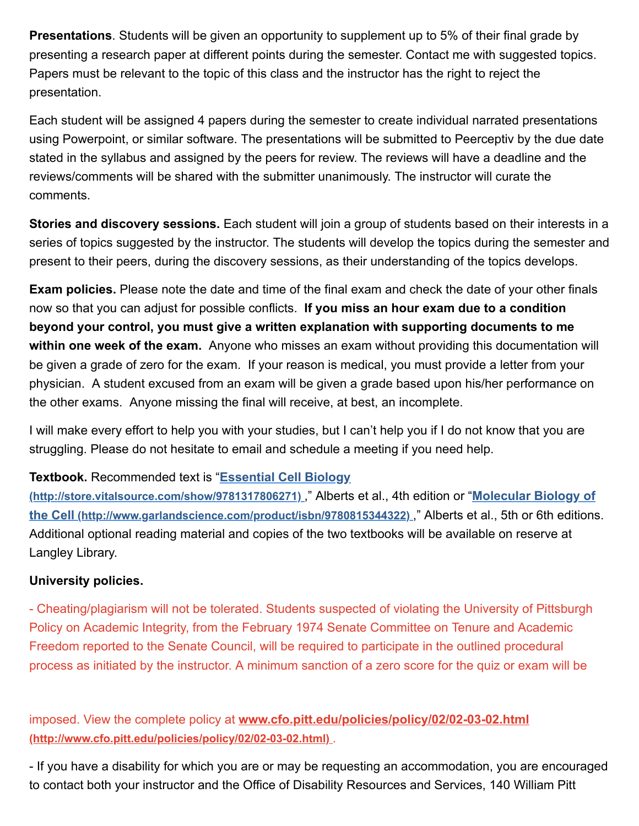**Presentations**. Students will be given an opportunity to supplement up to 5% of their final grade by presenting a research paper at different points during the semester. Contact me with suggested topics. Papers must be relevant to the topic of this class and the instructor has the right to reject the presentation.

Each student will be assigned 4 papers during the semester to create individual narrated presentations using Powerpoint, or similar software. The presentations will be submitted to Peerceptiv by the due date stated in the syllabus and assigned by the peers for review. The reviews will have a deadline and the reviews/comments will be shared with the submitter unanimously. The instructor will curate the comments.

**Stories and discovery sessions.** Each student will join a group of students based on their interests in a series of topics suggested by the instructor. The students will develop the topics during the semester and present to their peers, during the discovery sessions, as their understanding of the topics develops.

**Exam policies.** Please note the date and time of the final exam and check the date of your other finals now so that you can adjust for possible conflicts. **If you miss an hour exam due to a condition beyond your control, you must give a written explanation with supporting documents to me within one week of the exam.** Anyone who misses an exam without providing this documentation will be given a grade of zero for the exam. If your reason is medical, you must provide a letter from your physician. A student excused from an exam will be given a grade based upon his/her performance on the other exams. Anyone missing the final will receive, at best, an incomplete.

I will make every effort to help you with your studies, but I can't help you if I do not know that you are struggling. Please do not hesitate to email and schedule a meeting if you need help.

### **Textbook.** Recommended text is "**Essential Cell Biology**

**[\(http://store.vitalsource.com/show/9781317806271\)](http://store.vitalsource.com/show/9781317806271)** ," Alberts et al., 4th edition or "**Molecular Biology of the Cell [\(http://www.garlandscience.com/product/isbn/9780815344322\)](http://www.garlandscience.com/product/isbn/9780815344322)** ," Alberts et al., 5th or 6th editions. Additional optional reading material and copies of the two textbooks will be available on reserve at Langley Library.

## **University policies.**

- Cheating/plagiarism will not be tolerated. Students suspected of violating the University of Pittsburgh Policy on Academic Integrity, from the February 1974 Senate Committee on Tenure and Academic Freedom reported to the Senate Council, will be required to participate in the outlined procedural process as initiated by the instructor. A minimum sanction of a zero score for the quiz or exam will be

imposed. View the complete policy at **[www.cfo.pitt.edu/policies/policy/02/02-03-02.html](http://www.cfo.pitt.edu/policies/policy/02/02-03-02.html) (http://www.cfo.pitt.edu/policies/policy/02/02-03-02.html)** .

- If you have a disability for which you are or may be requesting an accommodation, you are encouraged to contact both your instructor and the Office of Disability Resources and Services, 140 William Pitt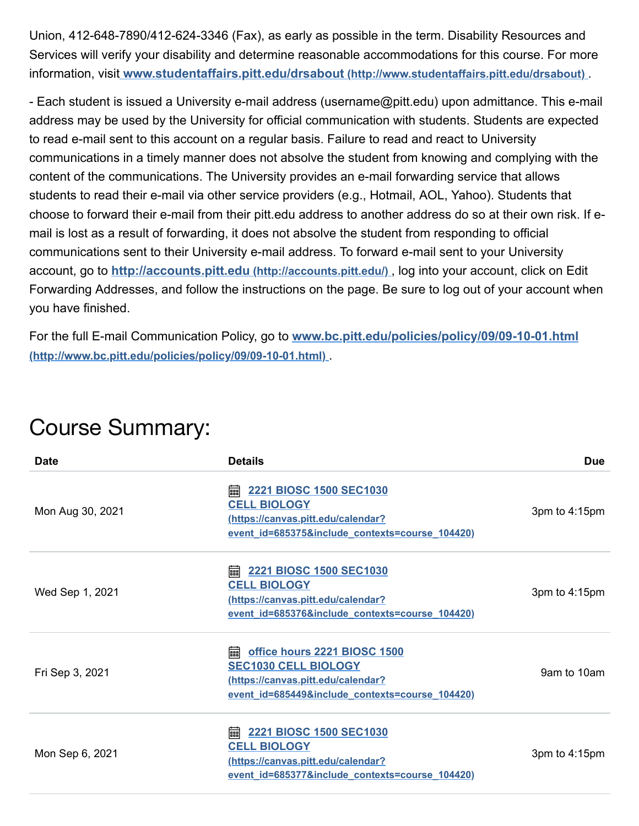Union, 412-648-7890/412-624-3346 (Fax), as early as possible in the term. Disability Resources and Services will verify your disability and determine reasonable accommodations for this course. For more information, visit **[www.studentaffairs.pitt.edu/drsabout](http://www.studentaffairs.pitt.edu/drsabout) (http://www.studentaffairs.pitt.edu/drsabout)** .

- Each student is issued a University e-mail address (username@pitt.edu) upon admittance. This e-mail address may be used by the University for official communication with students. Students are expected to read e-mail sent to this account on a regular basis. Failure to read and react to University communications in a timely manner does not absolve the student from knowing and complying with the content of the communications. The University provides an e-mail forwarding service that allows students to read their e-mail via other service providers (e.g., Hotmail, AOL, Yahoo). Students that choose to forward their e-mail from their pitt.edu address to another address do so at their own risk. If email is lost as a result of forwarding, it does not absolve the student from responding to official communications sent to their University e-mail address. To forward e-mail sent to your University account, go to **[http://accounts.pitt.edu](http://accounts.pitt.edu/) (http://accounts.pitt.edu/)** , log into your account, click on Edit Forwarding Addresses, and follow the instructions on the page. Be sure to log out of your account when you have finished.

For the full E-mail Communication Policy, go to **[www.bc.pitt.edu/policies/policy/09/09-10-01.html](http://www.bc.pitt.edu/policies/policy/09/09-10-01.html) (http://www.bc.pitt.edu/policies/policy/09/09-10-01.html)** .

| <b>Date</b>      | <b>Details</b>                                                                                                                                            | <b>Due</b>    |
|------------------|-----------------------------------------------------------------------------------------------------------------------------------------------------------|---------------|
| Mon Aug 30, 2021 | 2221 BIOSC 1500 SEC1030<br>翩<br><b>CELL BIOLOGY</b><br>(https://canvas.pitt.edu/calendar?<br>event_id=685375&include_contexts=course_104420)              | 3pm to 4:15pm |
| Wed Sep 1, 2021  | 翩<br>2221 BIOSC 1500 SEC1030<br><b>CELL BIOLOGY</b><br>(https://canvas.pitt.edu/calendar?<br>event_id=685376&include_contexts=course_104420)              | 3pm to 4:15pm |
| Fri Sep 3, 2021  | office hours 2221 BIOSC 1500<br>翩<br><b>SEC1030 CELL BIOLOGY</b><br>(https://canvas.pitt.edu/calendar?<br>event_id=685449&include_contexts=course_104420) | 9am to 10am   |
| Mon Sep 6, 2021  | 2221 BIOSC 1500 SEC1030<br>翩<br><b>CELL BIOLOGY</b><br>(https://canvas.pitt.edu/calendar?<br>event_id=685377&include_contexts=course_104420)              | 3pm to 4:15pm |

## Course Summary: